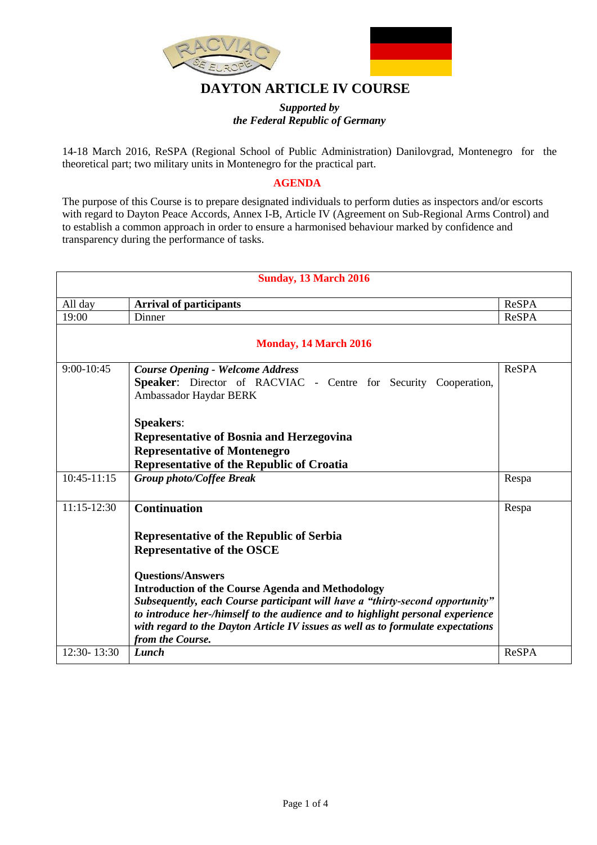

## **DAYTON ARTICLE IV COURSE**

## *Supported by the Federal Republic of Germany*

14-18 March 2016, ReSPA (Regional School of Public Administration) Danilovgrad, Montenegro for the theoretical part; two military units in Montenegro for the practical part.

## **AGENDA**

The purpose of this Course is to prepare designated individuals to perform duties as inspectors and/or escorts with regard to Dayton Peace Accords, Annex I-B, Article IV (Agreement on Sub-Regional Arms Control) and to establish a common approach in order to ensure a harmonised behaviour marked by confidence and transparency during the performance of tasks.

| <b>Sunday, 13 March 2016</b> |                                                                                                                                                                                                                                                                                                                                                                                                                                                                         |              |  |
|------------------------------|-------------------------------------------------------------------------------------------------------------------------------------------------------------------------------------------------------------------------------------------------------------------------------------------------------------------------------------------------------------------------------------------------------------------------------------------------------------------------|--------------|--|
| All day                      | <b>Arrival of participants</b>                                                                                                                                                                                                                                                                                                                                                                                                                                          | <b>ReSPA</b> |  |
| 19:00                        | Dinner                                                                                                                                                                                                                                                                                                                                                                                                                                                                  | <b>ReSPA</b> |  |
|                              | <b>Monday, 14 March 2016</b>                                                                                                                                                                                                                                                                                                                                                                                                                                            |              |  |
| $9:00-10:45$                 | <b>Course Opening - Welcome Address</b><br>Speaker: Director of RACVIAC - Centre for Security Cooperation,<br>Ambassador Haydar BERK<br><b>Speakers:</b><br><b>Representative of Bosnia and Herzegovina</b><br><b>Representative of Montenegro</b><br>Representative of the Republic of Croatia                                                                                                                                                                         | <b>ReSPA</b> |  |
| $10:45-11:15$                | <b>Group photo/Coffee Break</b>                                                                                                                                                                                                                                                                                                                                                                                                                                         | Respa        |  |
| $11:15-12:30$                | <b>Continuation</b><br>Representative of the Republic of Serbia<br><b>Representative of the OSCE</b><br><b>Questions/Answers</b><br><b>Introduction of the Course Agenda and Methodology</b><br>Subsequently, each Course participant will have a "thirty-second opportunity"<br>to introduce her-/himself to the audience and to highlight personal experience<br>with regard to the Dayton Article IV issues as well as to formulate expectations<br>from the Course. | Respa        |  |
| 12:30-13:30                  | Lunch                                                                                                                                                                                                                                                                                                                                                                                                                                                                   | <b>ReSPA</b> |  |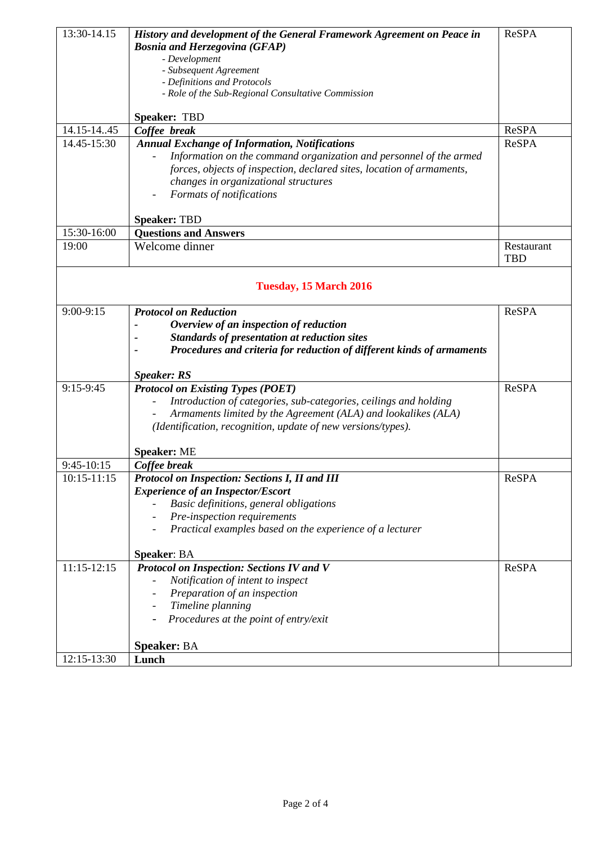| 13:30-14.15     | History and development of the General Framework Agreement on Peace in<br><b>Bosnia and Herzegovina (GFAP)</b><br>- Development | <b>ReSPA</b> |
|-----------------|---------------------------------------------------------------------------------------------------------------------------------|--------------|
|                 | - Subsequent Agreement                                                                                                          |              |
|                 | - Definitions and Protocols                                                                                                     |              |
|                 | - Role of the Sub-Regional Consultative Commission                                                                              |              |
|                 | Speaker: TBD                                                                                                                    |              |
| 14.15-14.45     | Coffee break                                                                                                                    | <b>ReSPA</b> |
| 14.45-15:30     | <b>Annual Exchange of Information, Notifications</b>                                                                            | <b>ReSPA</b> |
|                 | Information on the command organization and personnel of the armed                                                              |              |
|                 | forces, objects of inspection, declared sites, location of armaments,                                                           |              |
|                 | changes in organizational structures                                                                                            |              |
|                 | Formats of notifications                                                                                                        |              |
|                 | <b>Speaker: TBD</b>                                                                                                             |              |
| 15:30-16:00     | <b>Questions and Answers</b>                                                                                                    |              |
| 19:00           | Welcome dinner                                                                                                                  | Restaurant   |
|                 |                                                                                                                                 | <b>TBD</b>   |
|                 | <b>Tuesday, 15 March 2016</b>                                                                                                   |              |
|                 |                                                                                                                                 |              |
| $9:00-9:15$     | <b>Protocol on Reduction</b>                                                                                                    | <b>ReSPA</b> |
|                 | Overview of an inspection of reduction                                                                                          |              |
|                 | Standards of presentation at reduction sites                                                                                    |              |
|                 | Procedures and criteria for reduction of different kinds of armaments                                                           |              |
|                 | <b>Speaker: RS</b>                                                                                                              |              |
| 9:15-9:45       | <b>Protocol on Existing Types (POET)</b>                                                                                        | <b>ReSPA</b> |
|                 | Introduction of categories, sub-categories, ceilings and holding                                                                |              |
|                 | Armaments limited by the Agreement (ALA) and lookalikes (ALA)                                                                   |              |
|                 | (Identification, recognition, update of new versions/types).                                                                    |              |
|                 |                                                                                                                                 |              |
| 9:45-10:15      | <b>Speaker: ME</b><br>Coffee break                                                                                              |              |
| $10:15 - 11:15$ | Protocol on Inspection: Sections I, II and III                                                                                  | <b>ReSPA</b> |
|                 | <b>Experience of an Inspector/Escort</b>                                                                                        |              |
|                 | Basic definitions, general obligations                                                                                          |              |
|                 | Pre-inspection requirements                                                                                                     |              |
|                 | Practical examples based on the experience of a lecturer                                                                        |              |
|                 |                                                                                                                                 |              |
|                 | <b>Speaker: BA</b>                                                                                                              |              |
| $11:15-12:15$   | <b>Protocol on Inspection: Sections IV and V</b>                                                                                | <b>ReSPA</b> |
|                 | Notification of intent to inspect                                                                                               |              |
|                 | Preparation of an inspection                                                                                                    |              |
|                 | Timeline planning                                                                                                               |              |
|                 | Procedures at the point of entry/exit                                                                                           |              |
|                 |                                                                                                                                 |              |
| 12:15-13:30     | <b>Speaker: BA</b><br>Lunch                                                                                                     |              |
|                 |                                                                                                                                 |              |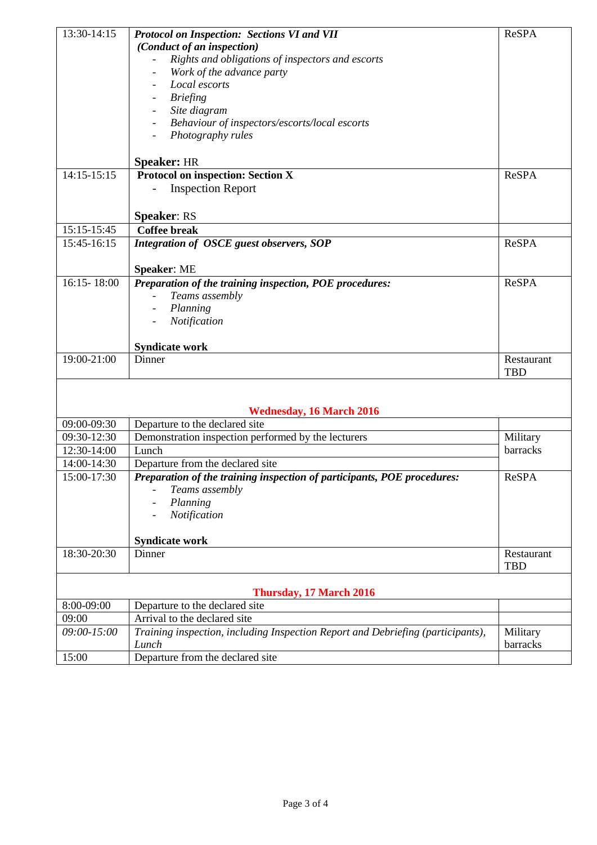| 13:30-14:15 | Protocol on Inspection: Sections VI and VII                                     | <b>ReSPA</b> |
|-------------|---------------------------------------------------------------------------------|--------------|
|             | (Conduct of an inspection)                                                      |              |
|             | Rights and obligations of inspectors and escorts                                |              |
|             | Work of the advance party                                                       |              |
|             | Local escorts                                                                   |              |
|             | <b>Briefing</b>                                                                 |              |
|             | Site diagram                                                                    |              |
|             | Behaviour of inspectors/escorts/local escorts                                   |              |
|             | Photography rules                                                               |              |
|             |                                                                                 |              |
|             | <b>Speaker: HR</b>                                                              |              |
| 14:15-15:15 | <b>Protocol on inspection: Section X</b>                                        | <b>ReSPA</b> |
|             | <b>Inspection Report</b>                                                        |              |
|             |                                                                                 |              |
|             | <b>Speaker: RS</b>                                                              |              |
| 15:15-15:45 | <b>Coffee break</b>                                                             |              |
| 15:45-16:15 | Integration of OSCE guest observers, SOP                                        | <b>ReSPA</b> |
|             |                                                                                 |              |
|             | <b>Speaker: ME</b>                                                              |              |
| 16:15-18:00 | Preparation of the training inspection, POE procedures:                         | <b>ReSPA</b> |
|             | Teams assembly                                                                  |              |
|             |                                                                                 |              |
|             | Planning                                                                        |              |
|             | Notification                                                                    |              |
|             | <b>Syndicate work</b>                                                           |              |
| 19:00-21:00 | Dinner                                                                          | Restaurant   |
|             |                                                                                 | <b>TBD</b>   |
|             |                                                                                 |              |
|             |                                                                                 |              |
|             | <b>Wednesday, 16 March 2016</b>                                                 |              |
| 09:00-09:30 | Departure to the declared site                                                  |              |
| 09:30-12:30 | Demonstration inspection performed by the lecturers                             | Military     |
| 12:30-14:00 | Lunch                                                                           | barracks     |
| 14:00-14:30 | Departure from the declared site                                                |              |
| 15:00-17:30 | Preparation of the training inspection of participants, POE procedures:         | ReSPA        |
|             | Teams assembly                                                                  |              |
|             | Planning                                                                        |              |
|             | Notification                                                                    |              |
|             |                                                                                 |              |
|             | <b>Syndicate work</b>                                                           |              |
| 18:30-20:30 | Dinner                                                                          | Restaurant   |
|             |                                                                                 | <b>TBD</b>   |
|             |                                                                                 |              |
|             | <b>Thursday, 17 March 2016</b>                                                  |              |
| 8:00-09:00  | Departure to the declared site                                                  |              |
| 09:00       | Arrival to the declared site                                                    |              |
| 09:00-15:00 | Training inspection, including Inspection Report and Debriefing (participants), | Military     |
|             | Lunch                                                                           | barracks     |
| 15:00       | Departure from the declared site                                                |              |